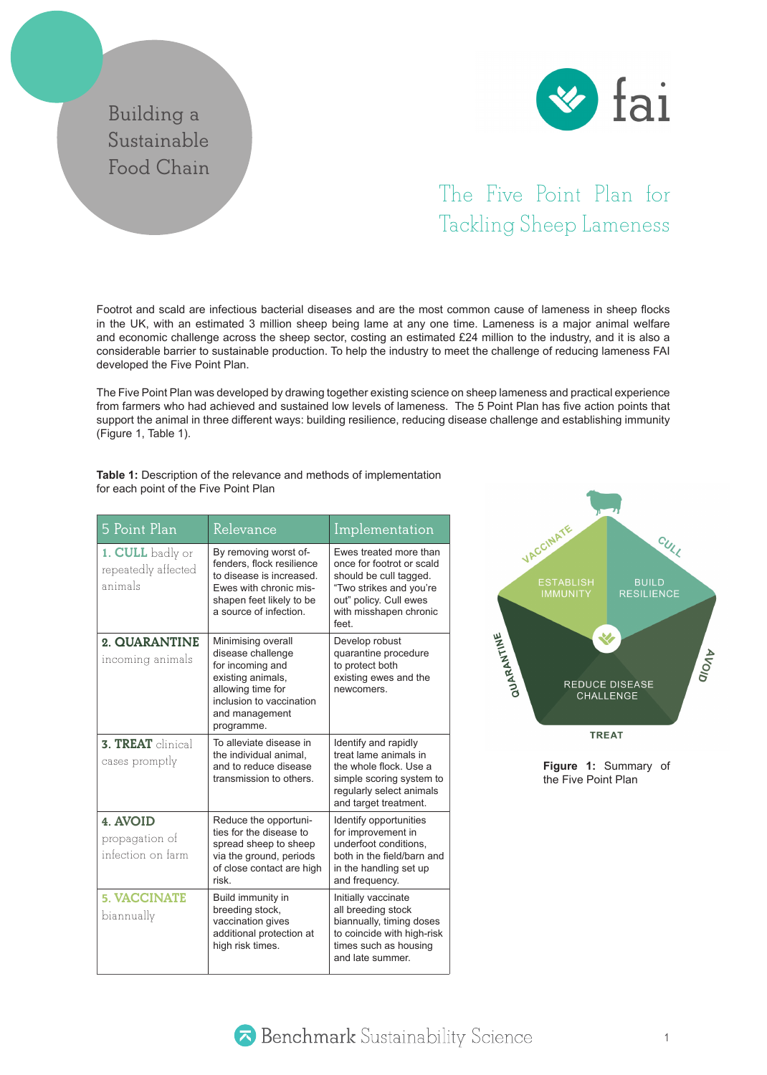## **Building a Sustainable Food Chain**



## The Five Point Plan for Tackling Sheep Lameness

Footrot and scald are infectious bacterial diseases and are the most common cause of lameness in sheep flocks in the UK, with an estimated 3 million sheep being lame at any one time. Lameness is a major animal welfare and economic challenge across the sheep sector, costing an estimated £24 million to the industry, and it is also a considerable barrier to sustainable production. To help the industry to meet the challenge of reducing lameness FAI developed the Five Point Plan.

The Five Point Plan was developed by drawing together existing science on sheep lameness and practical experience from farmers who had achieved and sustained low levels of lameness. The 5 Point Plan has five action points that support the animal in three different ways: building resilience, reducing disease challenge and establishing immunity (Figure 1, Table 1).

**Table 1:** Description of the relevance and methods of implementation for each point of the Five Point Plan

| 5 Point Plan                                       | Relevance                                                                                                                                                         | Implementation                                                                                                                                                       |
|----------------------------------------------------|-------------------------------------------------------------------------------------------------------------------------------------------------------------------|----------------------------------------------------------------------------------------------------------------------------------------------------------------------|
| 1. CULL badly or<br>repeatedly affected<br>animals | By removing worst of-<br>fenders, flock resilience<br>to disease is increased.<br>Ewes with chronic mis-<br>shapen feet likely to be<br>a source of infection.    | Ewes treated more than<br>once for footrot or scald<br>should be cull tagged.<br>"Two strikes and you're<br>out" policy. Cull ewes<br>with misshapen chronic<br>feet |
| 2. QUARANTINE<br>incoming animals                  | Minimising overall<br>disease challenge<br>for incoming and<br>existing animals,<br>allowing time for<br>inclusion to vaccination<br>and management<br>programme. | Develop robust<br>quarantine procedure<br>to protect both<br>existing ewes and the<br>newcomers.                                                                     |
| 3. TREAT clinical<br>cases promptly                | To alleviate disease in<br>the individual animal,<br>and to reduce disease<br>transmission to others.                                                             | Identify and rapidly<br>treat lame animals in<br>the whole flock. Use a<br>simple scoring system to<br>regularly select animals<br>and target treatment.             |
| 4. AVOID<br>propagation of<br>infection on farm    | Reduce the opportuni-<br>ties for the disease to<br>spread sheep to sheep<br>via the ground, periods<br>of close contact are high<br>risk                         | Identify opportunities<br>for improvement in<br>underfoot conditions.<br>both in the field/barn and<br>in the handling set up<br>and frequency.                      |
| <b>5. VACCINATE</b><br>biannually                  | Build immunity in<br>breeding stock,<br>vaccination gives<br>additional protection at<br>high risk times.                                                         | Initially vaccinate<br>all breeding stock<br>biannually, timing doses<br>to coincide with high-risk<br>times such as housing<br>and late summer.                     |



**Figure 1:** Summary of the Five Point Plan

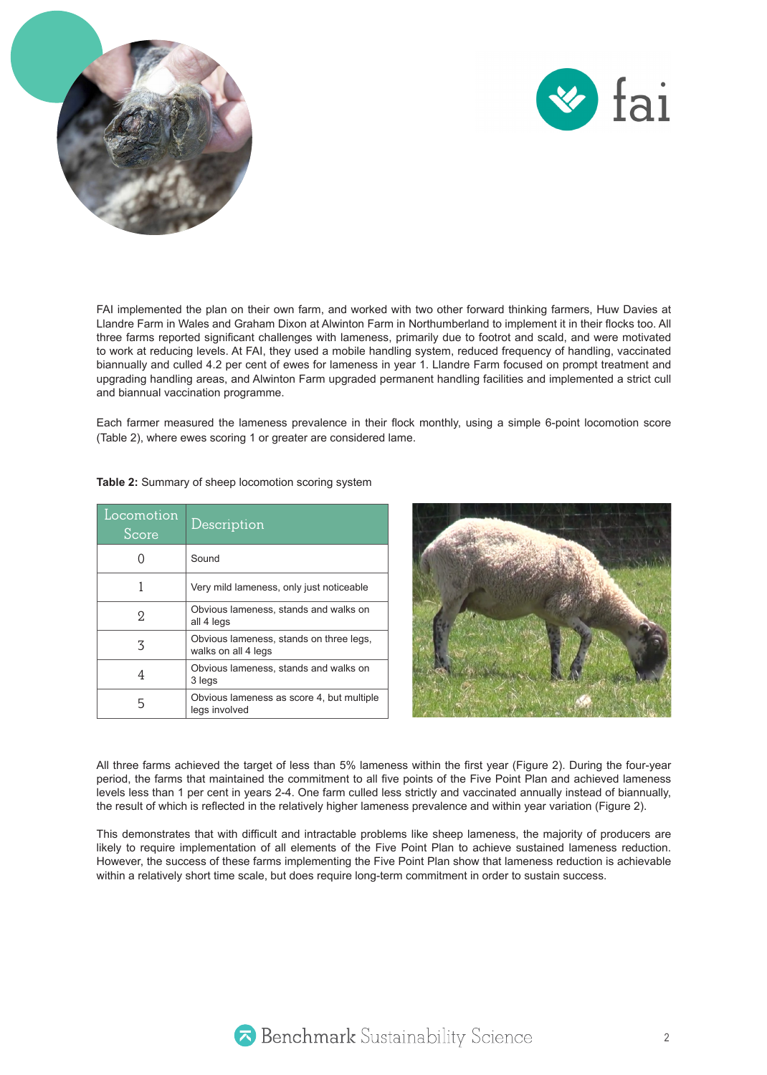



FAI implemented the plan on their own farm, and worked with two other forward thinking farmers, Huw Davies at Llandre Farm in Wales and Graham Dixon at Alwinton Farm in Northumberland to implement it in their flocks too. All three farms reported significant challenges with lameness, primarily due to footrot and scald, and were motivated to work at reducing levels. At FAI, they used a mobile handling system, reduced frequency of handling, vaccinated biannually and culled 4.2 per cent of ewes for lameness in year 1. Llandre Farm focused on prompt treatment and upgrading handling areas, and Alwinton Farm upgraded permanent handling facilities and implemented a strict cull and biannual vaccination programme.

Each farmer measured the lameness prevalence in their flock monthly, using a simple 6-point locomotion score (Table 2), where ewes scoring 1 or greater are considered lame.

| Locomotion<br>Score | Description                                                    |
|---------------------|----------------------------------------------------------------|
|                     | Sound                                                          |
| 1                   | Very mild lameness, only just noticeable                       |
| 2.                  | Obvious lameness, stands and walks on<br>all 4 legs            |
| 3                   | Obvious lameness, stands on three legs,<br>walks on all 4 legs |
| 4                   | Obvious lameness, stands and walks on<br>3 legs                |
| 5                   | Obvious lameness as score 4, but multiple<br>legs involved     |

**Table 2:** Summary of sheep locomotion scoring system



All three farms achieved the target of less than 5% lameness within the first year (Figure 2). During the four-year period, the farms that maintained the commitment to all five points of the Five Point Plan and achieved lameness levels less than 1 per cent in years 2-4. One farm culled less strictly and vaccinated annually instead of biannually, the result of which is reflected in the relatively higher lameness prevalence and within year variation (Figure 2).

This demonstrates that with difficult and intractable problems like sheep lameness, the majority of producers are likely to require implementation of all elements of the Five Point Plan to achieve sustained lameness reduction. However, the success of these farms implementing the Five Point Plan show that lameness reduction is achievable within a relatively short time scale, but does require long-term commitment in order to sustain success.